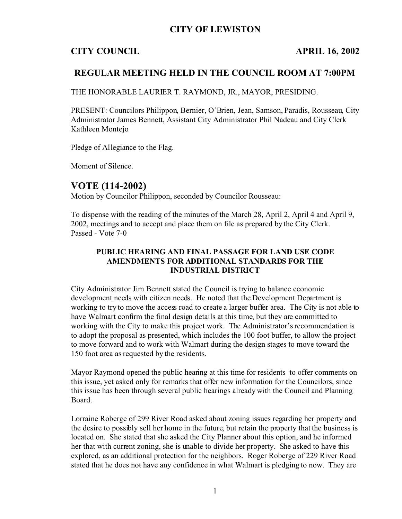### **CITY OF LEWISTON**

## **CITY COUNCIL APRIL 16, 2002**

## **REGULAR MEETING HELD IN THE COUNCIL ROOM AT 7:00PM**

THE HONORABLE LAURIER T. RAYMOND, JR., MAYOR, PRESIDING.

PRESENT: Councilors Philippon, Bernier, O'Brien, Jean, Samson, Paradis, Rousseau, City Administrator James Bennett, Assistant City Administrator Phil Nadeau and City Clerk Kathleen Montejo

Pledge of Allegiance to the Flag.

Moment of Silence.

### **VOTE (114-2002)**

Motion by Councilor Philippon, seconded by Councilor Rousseau:

To dispense with the reading of the minutes of the March 28, April 2, April 4 and April 9, 2002, meetings and to accept and place them on file as prepared by the City Clerk. Passed - Vote 7-0

#### **PUBLIC HEARING AND FINAL PASSAGE FOR LAND USE CODE AMENDMENTS FOR ADDITIONAL STANDARDS FOR THE INDUSTRIAL DISTRICT**

City Administrator Jim Bennett stated the Council is trying to balance economic development needs with citizen needs. He noted that the Development Department is working to try to move the access road to create a larger buffer area. The City is not able to have Walmart confirm the final design details at this time, but they are committed to working with the City to make this project work. The Administrator's recommendation is to adopt the proposal as presented, which includes the 100 foot buffer, to allow the project to move forward and to work with Walmart during the design stages to move toward the 150 foot area as requested by the residents.

Mayor Raymond opened the public hearing at this time for residents to offer comments on this issue, yet asked only for remarks that offer new information for the Councilors, since this issue has been through several public hearings already with the Council and Planning Board.

Lorraine Roberge of 299 River Road asked about zoning issues regarding her property and the desire to possibly sell her home in the future, but retain the property that the business is located on. She stated that she asked the City Planner about this option, and he informed her that with current zoning, she is unable to divide her property. She asked to have this explored, as an additional protection for the neighbors. Roger Roberge of 229 River Road stated that he does not have any confidence in what Walmart is pledging to now. They are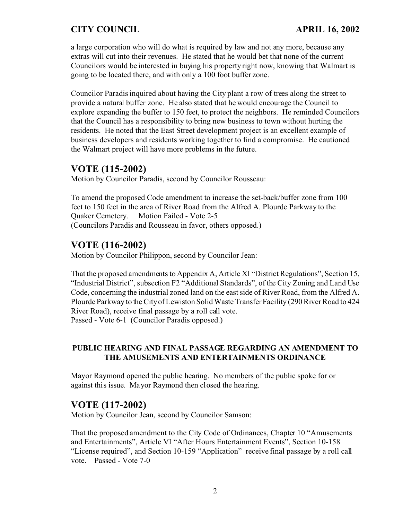a large corporation who will do what is required by law and not any more, because any extras will cut into their revenues. He stated that he would bet that none of the current Councilors would be interested in buying his property right now, knowing that Walmart is going to be located there, and with only a 100 foot buffer zone.

Councilor Paradis inquired about having the City plant a row of trees along the street to provide a natural buffer zone. He also stated that he would encourage the Council to explore expanding the buffer to 150 feet, to protect the neighbors. He reminded Councilors that the Council has a responsibility to bring new business to town without hurting the residents. He noted that the East Street development project is an excellent example of business developers and residents working together to find a compromise. He cautioned the Walmart project will have more problems in the future.

### **VOTE (115-2002)**

Motion by Councilor Paradis, second by Councilor Rousseau:

To amend the proposed Code amendment to increase the set-back/buffer zone from 100 feet to 150 feet in the area of River Road from the Alfred A. Plourde Parkway to the Quaker Cemetery. Motion Failed - Vote 2-5 (Councilors Paradis and Rousseau in favor, others opposed.)

# **VOTE (116-2002)**

Motion by Councilor Philippon, second by Councilor Jean:

That the proposed amendments to Appendix A, Article XI "District Regulations", Section 15, "Industrial District", subsection F2 "Additional Standards", of the City Zoning and Land Use Code, concerning the industrial zoned land on the east side of River Road, from the Alfred A. Plourde Parkway to the City of Lewiston Solid Waste Transfer Facility (290 River Road to 424 River Road), receive final passage by a roll call vote. Passed - Vote 6-1 (Councilor Paradis opposed.)

#### **PUBLIC HEARING AND FINAL PASSAGE REGARDING AN AMENDMENT TO THE AMUSEMENTS AND ENTERTAINMENTS ORDINANCE**

Mayor Raymond opened the public hearing. No members of the public spoke for or against this issue. Mayor Raymond then closed the hearing.

### **VOTE (117-2002)**

Motion by Councilor Jean, second by Councilor Samson:

That the proposed amendment to the City Code of Ordinances, Chapter 10 "Amusements and Entertainments", Article VI "After Hours Entertainment Events", Section 10-158 "License required", and Section 10-159 "Application" receive final passage by a roll call vote. Passed - Vote 7-0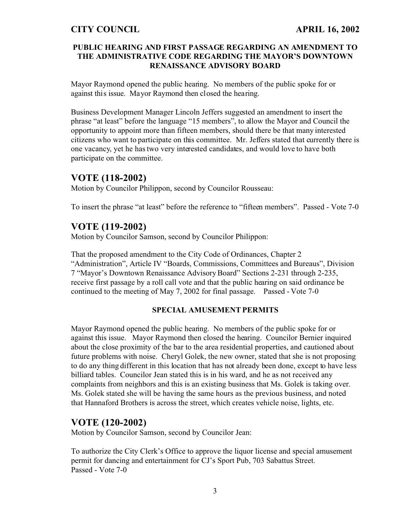#### **PUBLIC HEARING AND FIRST PASSAGE REGARDING AN AMENDMENT TO THE ADMINISTRATIVE CODE REGARDING THE MAYOR'S DOWNTOWN RENAISSANCE ADVISORY BOARD**

Mayor Raymond opened the public hearing. No members of the public spoke for or against this issue. Mayor Raymond then closed the hearing.

Business Development Manager Lincoln Jeffers suggested an amendment to insert the phrase "at least" before the language "15 members", to allow the Mayor and Council the opportunity to appoint more than fifteen members, should there be that many interested citizens who want to participate on this committee. Mr. Jeffers stated that currently there is one vacancy, yet he has two very interested candidates, and would love to have both participate on the committee.

### **VOTE (118-2002)**

Motion by Councilor Philippon, second by Councilor Rousseau:

To insert the phrase "at least" before the reference to "fifteen members". Passed - Vote 7-0

# **VOTE (119-2002)**

Motion by Councilor Samson, second by Councilor Philippon:

That the proposed amendment to the City Code of Ordinances, Chapter 2 "Administration", Article IV "Boards, Commissions, Committees and Bureaus", Division 7 "Mayor's Downtown Renaissance Advisory Board" Sections 2-231 through 2-235, receive first passage by a roll call vote and that the public hearing on said ordinance be continued to the meeting of May 7, 2002 for final passage. Passed - Vote 7-0

#### **SPECIAL AMUSEMENT PERMITS**

Mayor Raymond opened the public hearing. No members of the public spoke for or against this issue. Mayor Raymond then closed the hearing. Councilor Bernier inquired about the close proximity of the bar to the area residential properties, and cautioned about future problems with noise. Cheryl Golek, the new owner, stated that she is not proposing to do any thing different in this location that has not already been done, except to have less billiard tables. Councilor Jean stated this is in his ward, and he as not received any complaints from neighbors and this is an existing business that Ms. Golek is taking over. Ms. Golek stated she will be having the same hours as the previous business, and noted that Hannaford Brothers is across the street, which creates vehicle noise, lights, etc.

# **VOTE (120-2002)**

Motion by Councilor Samson, second by Councilor Jean:

To authorize the City Clerk's Office to approve the liquor license and special amusement permit for dancing and entertainment for CJ's Sport Pub, 703 Sabattus Street. Passed - Vote 7-0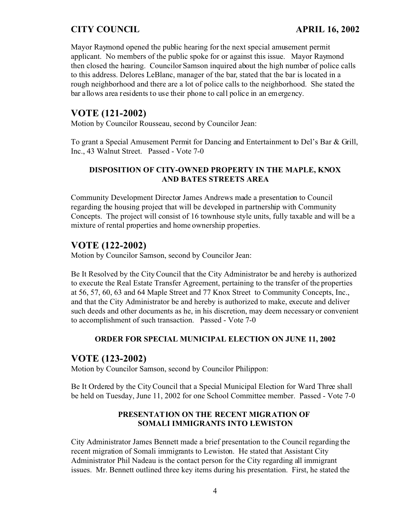Mayor Raymond opened the public hearing for the next special amusement permit applicant. No members of the public spoke for or against this issue. Mayor Raymond then closed the hearing. Councilor Samson inquired about the high number of police calls to this address. Delores LeBlanc, manager of the bar, stated that the bar is located in a rough neighborhood and there are a lot of police calls to the neighborhood. She stated the bar allows area residents to use their phone to call police in an emergency.

# **VOTE (121-2002)**

Motion by Councilor Rousseau, second by Councilor Jean:

To grant a Special Amusement Permit for Dancing and Entertainment to Del's Bar & Grill, Inc., 43 Walnut Street. Passed - Vote 7-0

#### **DISPOSITION OF CITY-OWNED PROPERTY IN THE MAPLE, KNOX AND BATES STREETS AREA**

Community Development Director James Andrews made a presentation to Council regarding the housing project that will be developed in partnership with Community Concepts. The project will consist of 16 townhouse style units, fully taxable and will be a mixture of rental properties and home ownership properties.

# **VOTE (122-2002)**

Motion by Councilor Samson, second by Councilor Jean:

Be It Resolved by the City Council that the City Administrator be and hereby is authorized to execute the Real Estate Transfer Agreement, pertaining to the transfer of the properties at 56, 57, 60, 63 and 64 Maple Street and 77 Knox Street to Community Concepts, Inc., and that the City Administrator be and hereby is authorized to make, execute and deliver such deeds and other documents as he, in his discretion, may deem necessary or convenient to accomplishment of such transaction. Passed - Vote 7-0

#### **ORDER FOR SPECIAL MUNICIPAL ELECTION ON JUNE 11, 2002**

### **VOTE (123-2002)**

Motion by Councilor Samson, second by Councilor Philippon:

Be It Ordered by the City Council that a Special Municipal Election for Ward Three shall be held on Tuesday, June 11, 2002 for one School Committee member. Passed - Vote 7-0

#### **PRESENTATION ON THE RECENT MIGRATION OF SOMALI IMMIGRANTS INTO LEWISTON**

City Administrator James Bennett made a brief presentation to the Council regarding the recent migration of Somali immigrants to Lewiston. He stated that Assistant City Administrator Phil Nadeau is the contact person for the City regarding all immigrant issues. Mr. Bennett outlined three key items during his presentation. First, he stated the